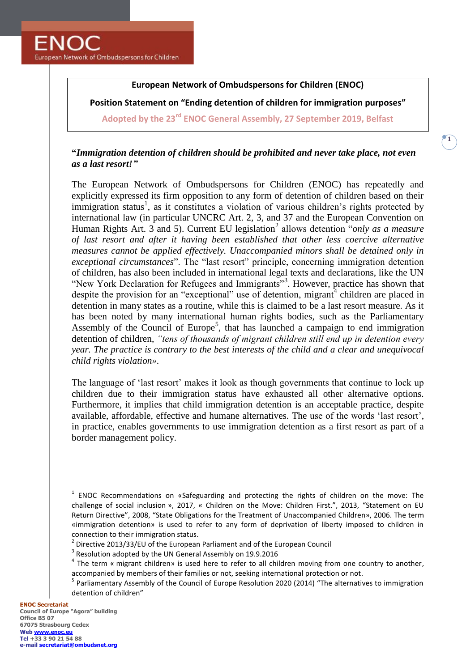**ENOC** European Network of Ombudspersons for Children

## **European Network of Ombudspersons for Children (ENOC)**

**Position Statement on "Ending detention of children for immigration purposes"**

**Adopted by the 23rd ENOC General Assembly, 27 September 2019, Belfast**

## **"***Immigration detention of children should be prohibited and never take place, not even as a last resort!"*

The European Network of Ombudspersons for Children (ENOC) has repeatedly and explicitly expressed its firm opposition to any form of detention of children based on their immigration status<sup>1</sup>, as it constitutes a violation of various children's rights protected by international law (in particular UNCRC Art. 2, 3, and 37 and the European Convention on Human Rights Art. 3 and 5). Current EU legislation<sup>2</sup> allows detention "*only as a measure of last resort and after it having been established that other less coercive alternative measures cannot be applied effectively. Unaccompanied minors shall be detained only in exceptional circumstances*". The "last resort" principle, concerning immigration detention of children, has also been included in international legal texts and declarations, like the UN "New York Declaration for Refugees and Immigrants"<sup>3</sup>. However, practice has shown that despite the provision for an "exceptional" use of detention, migrant $\overline{4}$  children are placed in detention in many states as a routine, while this is claimed to be a last resort measure. As it has been noted by many international human rights bodies, such as the Parliamentary Assembly of the Council of Europe<sup>5</sup>, that has launched a campaign to end immigration detention of children, *"tens of thousands of migrant children still end up in detention every year. The practice is contrary to the best interests of the child and a clear and unequivocal child rights violation».* 

The language of 'last resort' makes it look as though governments that continue to lock up children due to their immigration status have exhausted all other alternative options. Furthermore, it implies that child immigration detention is an acceptable practice, despite available, affordable, effective and humane alternatives. The use of the words 'last resort', in practice, enables governments to use immigration detention as a first resort as part of a border management policy.

 $\overline{a}$ 

<sup>&</sup>lt;sup>1</sup> ENOC Recommendations on «Safeguarding and protecting the rights of children on the move: The challenge of social inclusion », 2017, « Children on the Move: Children First.", 2013, "Statement on EU Return Directive", 2008, "State Obligations for the Treatment of Unaccompanied Children», 2006. The term «immigration detention» is used to refer to any form of deprivation of liberty imposed to children in connection to their immigration status.

 $^2$  Directive 2013/33/EU of the European Parliament and of the European Council

 $3$  Resolution adopted by the UN General Assembly on 19.9.2016

 $<sup>4</sup>$  The term « migrant children» is used here to refer to all children moving from one country to another,</sup> accompanied by members of their families or not, seeking international protection or not.

<sup>&</sup>lt;sup>5</sup> Parliamentary Assembly of the Council of Europe Resolution 2020 (2014) "The alternatives to immigration detention of children"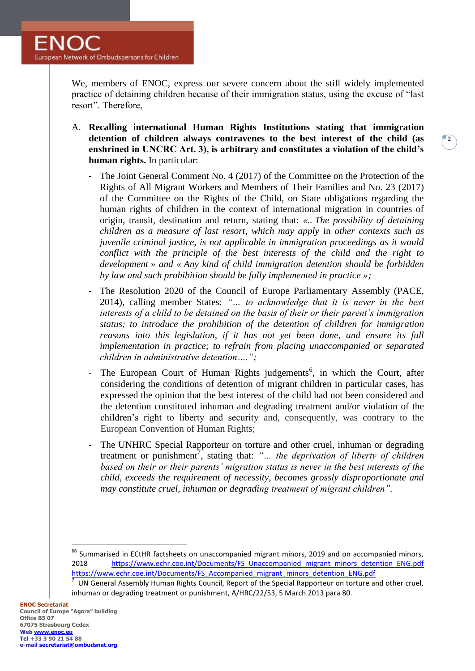We, members of ENOC, express our severe concern about the still widely implemented practice of detaining children because of their immigration status, using the excuse of "last resort". Therefore,

A. **Recalling international Human Rights Institutions stating that immigration detention of children always contravenes to the best interest of the child (as enshrined in UNCRC Art. 3), is arbitrary and constitutes a violation of the child's human rights.** In particular:

**2**

- The Joint General Comment No. 4 (2017) of the Committee on the Protection of the Rights of All Migrant Workers and Members of Their Families and No. 23 (2017) of the Committee on the Rights of the Child, on State obligations regarding the human rights of children in the context of international migration in countries of origin, transit, destination and return, stating that: *«.. The possibility of detaining children as a measure of last resort, which may apply* in *other contexts such as juvenile criminal justice, is not applicable in immigration proceedings as it would conflict with the principle of the best interests of the child and the right to development » and « Any kind of child immigration detention should be forbidden by law and such prohibition should be fully implemented in practice »;*
- The Resolution 2020 of the Council of Europe Parliamentary Assembly (PACE, 2014), calling member States: *"… to acknowledge that it is never in the best interests of a child to be detained on the basis of their or their parent's immigration status; to introduce the prohibition of the detention of children for immigration reasons into this legislation, if it has not yet been done, and ensure its full implementation in practice; to refrain from placing unaccompanied or separated children in administrative detention….";*
- The European Court of Human Rights judgements<sup>6</sup>, in which the Court, after considering the conditions of detention of migrant children in particular cases, has expressed the opinion that the best interest of the child had not been considered and the detention constituted inhuman and degrading treatment and/or violation of the children's right to liberty and security and, consequently, was contrary to the European Convention of Human Rights;
- The UNHRC Special Rapporteur on torture and other cruel, inhuman or degrading treatment or punishment<sup>7</sup>, stating that: "... the deprivation of liberty of children *based on their or their parents' migration status is never in the best interests of the child, exceeds the requirement of necessity, becomes grossly disproportionate and may constitute cruel, inhuman or degrading treatment of migrant children".*

 $\overline{a}$ 

<sup>&</sup>lt;sup>66</sup> Summarised in ECtHR factsheets on unaccompanied migrant minors, 2019 and on accompanied minors, 2018 https://www.echr.coe.int/Documents/FS\_Unaccompanied\_migrant\_minors\_detention\_ENG.pdf [https://www.echr.coe.int/Documents/FS\\_Accompanied\\_migrant\\_minors\\_detention\\_ENG.pdf](https://www.echr.coe.int/Documents/FS_Accompanied_migrant_minors_detention_ENG.pdf)

<sup>7</sup> UN General Assembly Human Rights Council, Report of the Special Rapporteur on torture and other cruel, inhuman or degrading treatment or punishment, A/HRC/22/53, 5 March 2013 para 80.